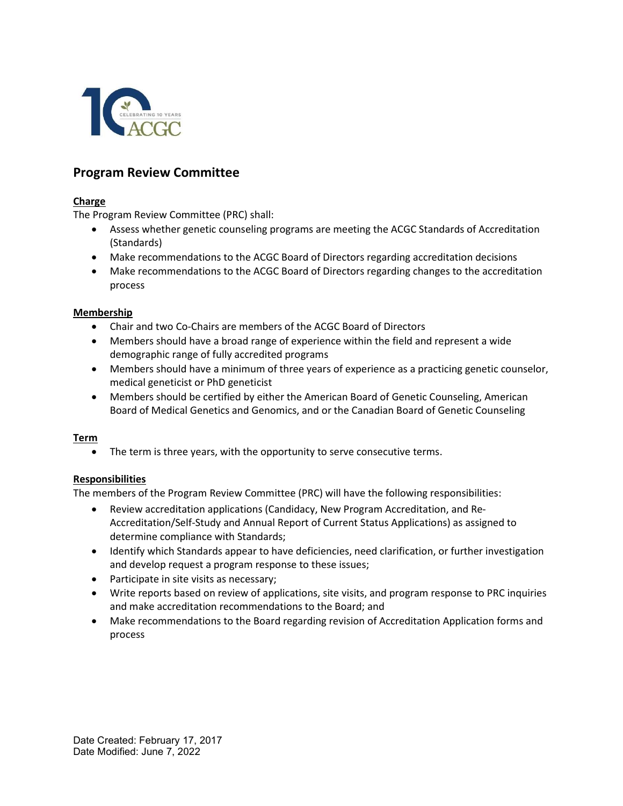

# Program Review Committee

## Charge

The Program Review Committee (PRC) shall:

- Assess whether genetic counseling programs are meeting the ACGC Standards of Accreditation (Standards)
- Make recommendations to the ACGC Board of Directors regarding accreditation decisions
- Make recommendations to the ACGC Board of Directors regarding changes to the accreditation process

### Membership

- Chair and two Co-Chairs are members of the ACGC Board of Directors
- Members should have a broad range of experience within the field and represent a wide demographic range of fully accredited programs
- Members should have a minimum of three years of experience as a practicing genetic counselor, medical geneticist or PhD geneticist
- Members should be certified by either the American Board of Genetic Counseling, American Board of Medical Genetics and Genomics, and or the Canadian Board of Genetic Counseling

### Term

The term is three years, with the opportunity to serve consecutive terms.

## Responsibilities

The members of the Program Review Committee (PRC) will have the following responsibilities:

- Review accreditation applications (Candidacy, New Program Accreditation, and Re-Accreditation/Self-Study and Annual Report of Current Status Applications) as assigned to determine compliance with Standards;
- Identify which Standards appear to have deficiencies, need clarification, or further investigation and develop request a program response to these issues;
- Participate in site visits as necessary;
- Write reports based on review of applications, site visits, and program response to PRC inquiries and make accreditation recommendations to the Board; and
- Make recommendations to the Board regarding revision of Accreditation Application forms and process